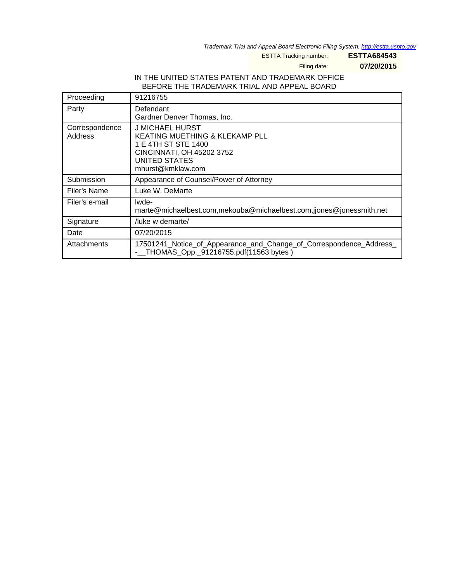Trademark Trial and Appeal Board Electronic Filing System. <http://estta.uspto.gov>

ESTTA Tracking number: **ESTTA684543**

Filing date: **07/20/2015**

## IN THE UNITED STATES PATENT AND TRADEMARK OFFICE BEFORE THE TRADEMARK TRIAL AND APPEAL BOARD

| Proceeding                | 91216755                                                                                                                                    |
|---------------------------|---------------------------------------------------------------------------------------------------------------------------------------------|
| Party                     | Defendant<br>Gardner Denver Thomas, Inc.                                                                                                    |
| Correspondence<br>Address | J MICHAEL HURST<br>KEATING MUETHING & KLEKAMP PLL<br>1 E 4TH ST STE 1400<br>CINCINNATI, OH 45202 3752<br>UNITED STATES<br>mhurst@kmklaw.com |
| Submission                | Appearance of Counsel/Power of Attorney                                                                                                     |
| Filer's Name              | Luke W. DeMarte                                                                                                                             |
| Filer's e-mail            | lwde-<br>marte@michaelbest.com,mekouba@michaelbest.com,jjones@jonessmith.net                                                                |
| Signature                 | luke w demarte/                                                                                                                             |
| Date                      | 07/20/2015                                                                                                                                  |
| Attachments               | 17501241_Notice_of_Appearance_and_Change_of_Correspondence_Address_<br>- THOMAS_Opp._91216755.pdf(11563 bytes)                              |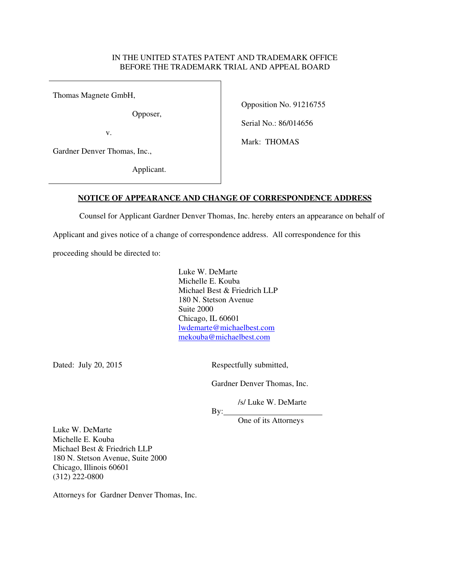## IN THE UNITED STATES PATENT AND TRADEMARK OFFICE BEFORE THE TRADEMARK TRIAL AND APPEAL BOARD

Thomas Magnete GmbH,

Opposer,

v.

Gardner Denver Thomas, Inc.,

Applicant.

Opposition No. 91216755

Serial No.: 86/014656

Mark: THOMAS

## **NOTICE OF APPEARANCE AND CHANGE OF CORRESPONDENCE ADDRESS**

Counsel for Applicant Gardner Denver Thomas, Inc. hereby enters an appearance on behalf of

Applicant and gives notice of a change of correspondence address. All correspondence for this

proceeding should be directed to:

Luke W. DeMarte Michelle E. Kouba Michael Best & Friedrich LLP 180 N. Stetson Avenue Suite 2000 Chicago, IL 60601 lwdemarte@michaelbest.com mekouba@michaelbest.com

Dated: July 20, 2015 Respectfully submitted,

Gardner Denver Thomas, Inc.

/s/ Luke W. DeMarte

One of its Attorneys

Luke W. DeMarte Michelle E. Kouba Michael Best & Friedrich LLP 180 N. Stetson Avenue, Suite 2000 Chicago, Illinois 60601 (312) 222-0800

Attorneys for Gardner Denver Thomas, Inc.

By: